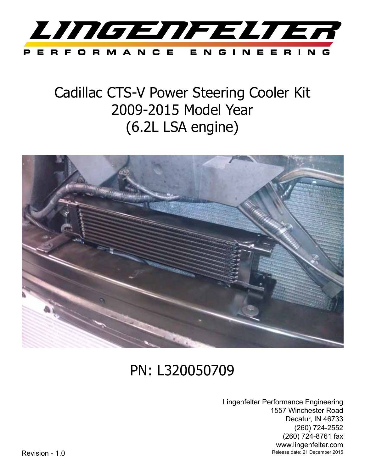

## Cadillac CTS-V Power Steering Cooler Kit 2009-2015 Model Year (6.2L LSA engine)



# PN: L320050709

Lingenfelter Performance Engineering 1557 Winchester Road Decatur, IN 46733 (260) 724-2552 (260) 724-8761 fax www.lingenfelter.com Revision - 1.0 Release date: 21 December 2015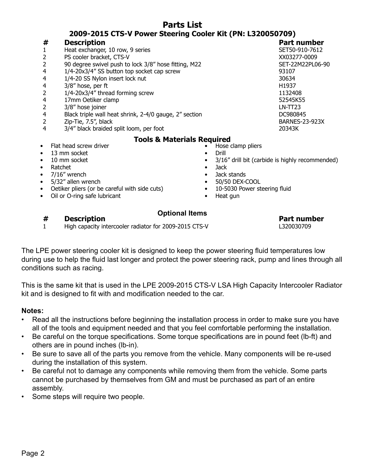| Parts List                                                 |                                                        |           |                                                 |
|------------------------------------------------------------|--------------------------------------------------------|-----------|-------------------------------------------------|
| 2009-2015 CTS-V Power Steering Cooler Kit (PN: L320050709) |                                                        |           |                                                 |
| #                                                          | <b>Description</b>                                     |           | <b>Part number</b>                              |
| 1                                                          | Heat exchanger, 10 row, 9 series                       |           | SET50-910-7612                                  |
| 2                                                          | PS cooler bracket, CTS-V                               |           | XX03277-0009                                    |
| $\overline{\mathbf{c}}$                                    | 90 degree swivel push to lock 3/8" hose fitting, M22   |           | SET-22M22PL06-90                                |
| 4                                                          | 1/4-20x3/4" SS button top socket cap screw             |           | 93107                                           |
| 4                                                          | 1/4-20 SS Nylon insert lock nut                        |           | 30634                                           |
| 4                                                          | 3/8" hose, per ft                                      |           | H1937                                           |
| 2                                                          | 1/4-20x3/4" thread forming screw                       |           | 1132408                                         |
| 4                                                          | 17mm Oetiker clamp                                     |           | 52545K55                                        |
| $\overline{2}$                                             | 3/8" hose joiner                                       |           | $LN-TT23$                                       |
| 4                                                          | Black triple wall heat shrink, 2-4/0 gauge, 2" section |           | DC980845                                        |
| $\overline{2}$                                             | Zip-Tie, 7.5", black                                   |           | <b>BARNES-23-923X</b>                           |
| 4                                                          | 3/4" black braided split loom, per foot                |           | 20343K                                          |
| <b>Tools &amp; Materials Required</b>                      |                                                        |           |                                                 |
| $\bullet$                                                  | Flat head screw driver                                 |           | Hose clamp pliers                               |
| $\bullet$                                                  | 13 mm socket                                           |           | Drill                                           |
| $\bullet$                                                  | 10 mm socket                                           |           | 3/16" drill bit (carbide is highly recommended) |
| $\bullet$                                                  | Ratchet                                                | $\bullet$ | <b>Jack</b>                                     |
| $\bullet$                                                  | 7/16" wrench                                           |           | Jack stands                                     |
| $\bullet$                                                  | 5/32" allen wrench                                     |           | 50/50 DEX-COOL                                  |
| $\bullet$                                                  | Oetiker pliers (or be careful with side cuts)          | $\bullet$ | 10-5030 Power steering fluid                    |
| ٠                                                          | Oil or O-ring safe lubricant                           | ٠         | Heat gun                                        |

**Parts List**

### **# Description Part number**

### **Optional Items**

1 High capacity intercooler radiator for 2009-2015 CTS-V L320030709

The LPE power steering cooler kit is designed to keep the power steering fluid temperatures low during use to help the fluid last longer and protect the power steering rack, pump and lines through all conditions such as racing.

This is the same kit that is used in the LPE 2009-2015 CTS-V LSA High Capacity Intercooler Radiator kit and is designed to fit with and modification needed to the car.

## **Notes:**

- Read all the instructions before beginning the installation process in order to make sure you have all of the tools and equipment needed and that you feel comfortable performing the installation.
- Be careful on the torque specifications. Some torque specifications are in pound feet (lb-ft) and others are in pound inches (lb-in).
- Be sure to save all of the parts you remove from the vehicle. Many components will be re-used during the installation of this system.
- Be careful not to damage any components while removing them from the vehicle. Some parts cannot be purchased by themselves from GM and must be purchased as part of an entire assembly.
- Some steps will require two people.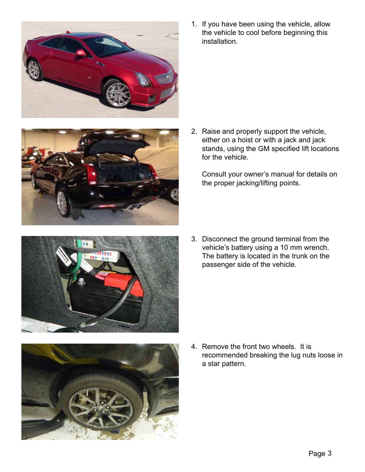



1. If you have been using the vehicle, allow the vehicle to cool before beginning this installation.

2. Raise and properly support the vehicle, either on a hoist or with a jack and jack stands, using the GM specified lift locations for the vehicle.

Consult your owner's manual for details on the proper jacking/lifting points.



3. Disconnect the ground terminal from the vehicle's battery using a 10 mm wrench. The battery is located in the trunk on the passenger side of the vehicle.



4. Remove the front two wheels. It is recommended breaking the lug nuts loose in a star pattern.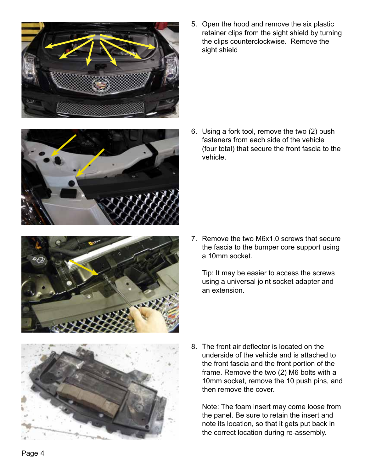underside of the vehicle and is attached to the front fascia and the front portion of the frame. Remove the two (2) M6 bolts with a 10mm socket, remove the 10 push pins, and then remove the cover.

Note: The foam insert may come loose from the panel. Be sure to retain the insert and note its location, so that it gets put back in the correct location during re-assembly.





 $\mathbf{r}$ 





5. Open the hood and remove the six plastic retainer clips from the sight shield by turning the clips counterclockwise. Remove the sight shield

6. Using a fork tool, remove the two (2) push fasteners from each side of the vehicle (four total) that secure the front fascia to the vehicle.

7. Remove the two M6x1.0 screws that secure the fascia to the bumper core support using a 10mm socket.

Tip: It may be easier to access the screws using a universal joint socket adapter and an extension.

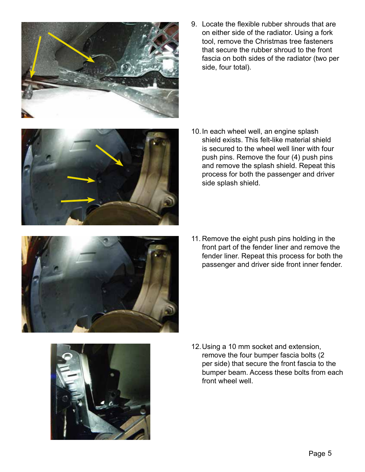9. Locate the flexible rubber shrouds that are on either side of the radiator. Using a fork tool, remove the Christmas tree fasteners that secure the rubber shroud to the front fascia on both sides of the radiator (two per side, four total).

- 10.In each wheel well, an engine splash shield exists. This felt-like material shield is secured to the wheel well liner with four push pins. Remove the four (4) push pins and remove the splash shield. Repeat this process for both the passenger and driver side splash shield.
- 11. Remove the eight push pins holding in the front part of the fender liner and remove the fender liner. Repeat this process for both the passenger and driver side front inner fender.

12.Using a 10 mm socket and extension, remove the four bumper fascia bolts (2 per side) that secure the front fascia to the bumper beam. Access these bolts from each front wheel well.







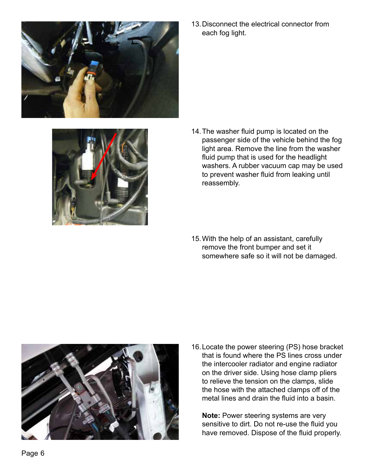

13.Disconnect the electrical connector from each fog light.



- 14.The washer fluid pump is located on the passenger side of the vehicle behind the fog light area. Remove the line from the washer fluid pump that is used for the headlight washers. A rubber vacuum cap may be used to prevent washer fluid from leaking until reassembly.
- 15.With the help of an assistant, carefully remove the front bumper and set it somewhere safe so it will not be damaged.



16.Locate the power steering (PS) hose bracket that is found where the PS lines cross under the intercooler radiator and engine radiator on the driver side. Using hose clamp pliers to relieve the tension on the clamps, slide the hose with the attached clamps off of the metal lines and drain the fluid into a basin.

**Note:** Power steering systems are very sensitive to dirt. Do not re-use the fluid you have removed. Dispose of the fluid properly.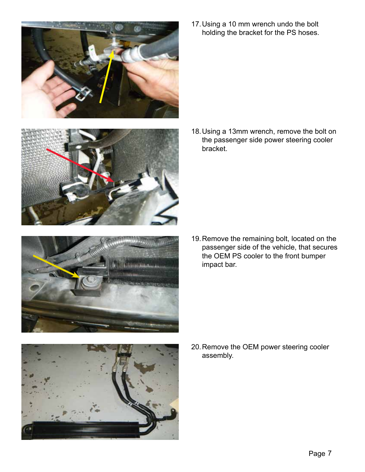

17.Using a 10 mm wrench undo the bolt holding the bracket for the PS hoses.





19.Remove the remaining bolt, located on the passenger side of the vehicle, that secures the OEM PS cooler to the front bumper impact bar.



20.Remove the OEM power steering cooler assembly.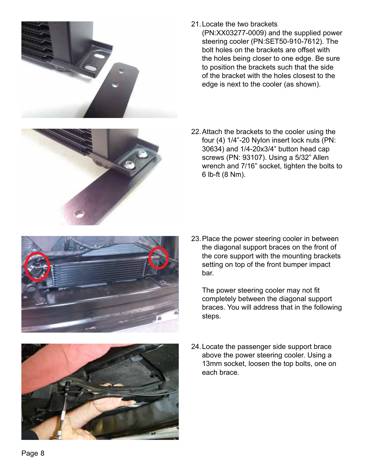



(PN:XX03277-0009) and the supplied power steering cooler (PN:SET50-910-7612). The bolt holes on the brackets are offset with the holes being closer to one edge. Be sure to position the brackets such that the side of the bracket with the holes closest to the edge is next to the cooler (as shown).

22.Attach the brackets to the cooler using the four (4) 1/4"-20 Nylon insert lock nuts (PN: 30634) and 1/4-20x3/4" button head cap screws (PN: 93107). Using a 5/32" Allen wrench and 7/16" socket, tighten the bolts to 6 lb-ft (8 Nm).



23.Place the power steering cooler in between the diagonal support braces on the front of the core support with the mounting brackets setting on top of the front bumper impact bar.

The power steering cooler may not fit completely between the diagonal support braces. You will address that in the following steps.



24.Locate the passenger side support brace above the power steering cooler. Using a 13mm socket, loosen the top bolts, one on each brace.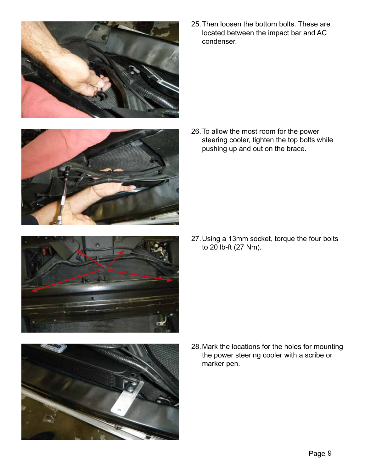



- 
- 

25.Then loosen the bottom bolts. These are located between the impact bar and AC condenser.

26.To allow the most room for the power steering cooler, tighten the top bolts while pushing up and out on the brace.

27.Using a 13mm socket, torque the four bolts to 20 lb-ft (27 Nm).

28.Mark the locations for the holes for mounting the power steering cooler with a scribe or marker pen.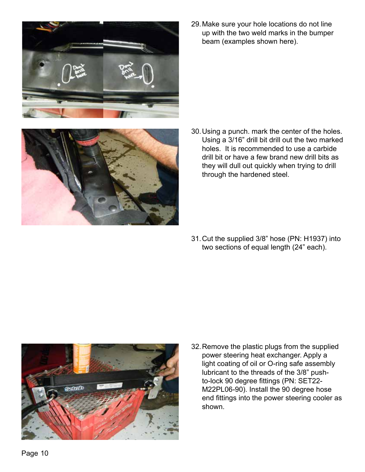

29.Make sure your hole locations do not line up with the two weld marks in the bumper beam (examples shown here).



30.Using a punch. mark the center of the holes. Using a 3/16" drill bit drill out the two marked holes. It is recommended to use a carbide drill bit or have a few brand new drill bits as they will dull out quickly when trying to drill through the hardened steel.

31.Cut the supplied 3/8" hose (PN: H1937) into two sections of equal length (24" each).



32.Remove the plastic plugs from the supplied power steering heat exchanger. Apply a light coating of oil or O-ring safe assembly lubricant to the threads of the 3/8" pushto-lock 90 degree fittings (PN: SET22- M22PL06-90). Install the 90 degree hose end fittings into the power steering cooler as shown.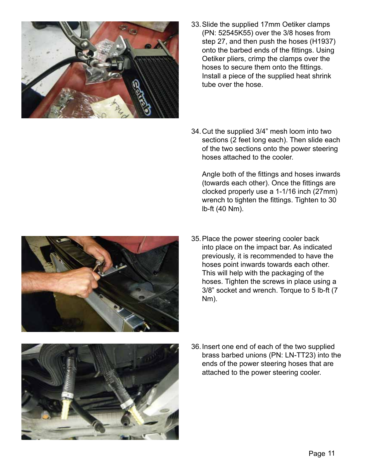

- 33.Slide the supplied 17mm Oetiker clamps (PN: 52545K55) over the 3/8 hoses from step 27, and then push the hoses (H1937) onto the barbed ends of the fittings. Using Oetiker pliers, crimp the clamps over the hoses to secure them onto the fittings. Install a piece of the supplied heat shrink tube over the hose.
- 34.Cut the supplied 3/4" mesh loom into two sections (2 feet long each). Then slide each of the two sections onto the power steering hoses attached to the cooler.

Angle both of the fittings and hoses inwards (towards each other). Once the fittings are clocked properly use a 1-1/16 inch (27mm) wrench to tighten the fittings. Tighten to 30 lb-ft (40 Nm).

35.Place the power steering cooler back into place on the impact bar. As indicated previously, it is recommended to have the hoses point inwards towards each other. This will help with the packaging of the hoses. Tighten the screws in place using a 3/8" socket and wrench. Torque to 5 lb-ft (7 Nm).



36.Insert one end of each of the two supplied brass barbed unions (PN: LN-TT23) into the ends of the power steering hoses that are attached to the power steering cooler.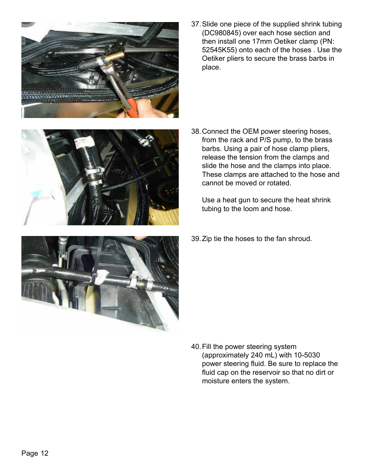

37.Slide one piece of the supplied shrink tubing (DC980845) over each hose section and then install one 17mm Oetiker clamp (PN: 52545K55) onto each of the hoses . Use the Oetiker pliers to secure the brass barbs in place.

- 
- 
- 38.Connect the OEM power steering hoses, from the rack and P/S pump, to the brass barbs. Using a pair of hose clamp pliers, release the tension from the clamps and slide the hose and the clamps into place. These clamps are attached to the hose and cannot be moved or rotated.

Use a heat gun to secure the heat shrink tubing to the loom and hose.

39.Zip tie the hoses to the fan shroud.

40.Fill the power steering system (approximately 240 mL) with 10-5030 power steering fluid. Be sure to replace the fluid cap on the reservoir so that no dirt or moisture enters the system.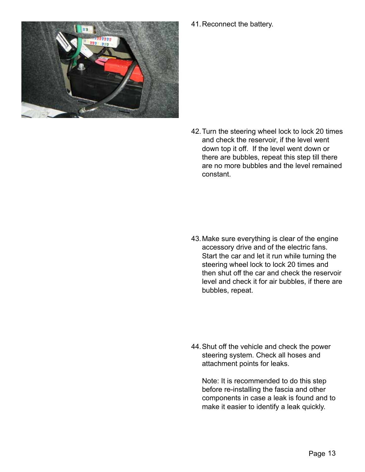

41.Reconnect the battery.

42.Turn the steering wheel lock to lock 20 times and check the reservoir, if the level went down top it off. If the level went down or there are bubbles, repeat this step till there are no more bubbles and the level remained constant.

43.Make sure everything is clear of the engine accessory drive and of the electric fans. Start the car and let it run while turning the steering wheel lock to lock 20 times and then shut off the car and check the reservoir level and check it for air bubbles, if there are bubbles, repeat.

44.Shut off the vehicle and check the power steering system. Check all hoses and attachment points for leaks.

Note: It is recommended to do this step before re-installing the fascia and other components in case a leak is found and to make it easier to identify a leak quickly.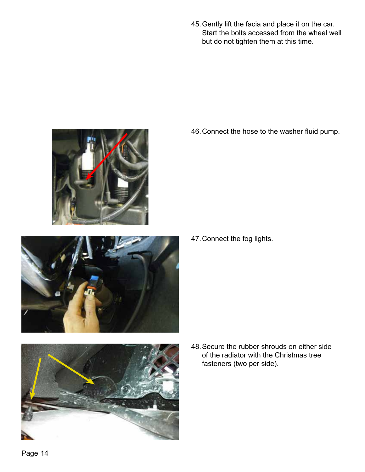45.Gently lift the facia and place it on the car. Start the bolts accessed from the wheel well but do not tighten them at this time.

46.Connect the hose to the washer fluid pump.





47.Connect the fog lights.



48.Secure the rubber shrouds on either side of the radiator with the Christmas tree fasteners (two per side).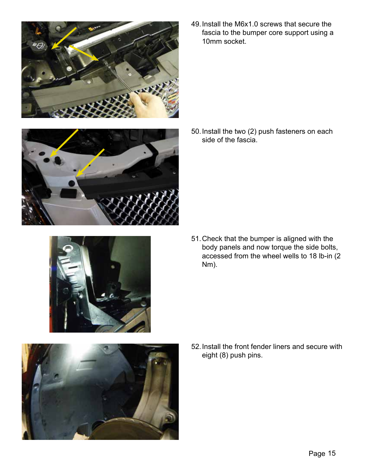

49.Install the M6x1.0 screws that secure the fascia to the bumper core support using a 10mm socket.

50.Install the two (2) push fasteners on each side of the fascia.





51.Check that the bumper is aligned with the body panels and now torque the side bolts, accessed from the wheel wells to 18 lb-in (2 Nm).



52.Install the front fender liners and secure with eight (8) push pins.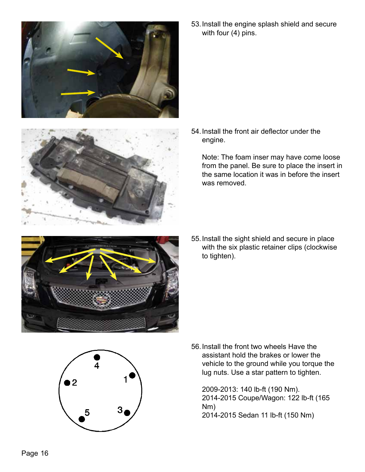



53.Install the engine splash shield and secure with four (4) pins.

54.Install the front air deflector under the engine.

Note: The foam inser may have come loose from the panel. Be sure to place the insert in the same location it was in before the insert was removed.



55.Install the sight shield and secure in place with the six plastic retainer clips (clockwise to tighten).



56.Install the front two wheels Have the assistant hold the brakes or lower the vehicle to the ground while you torque the lug nuts. Use a star pattern to tighten.

2009-2013: 140 lb-ft (190 Nm). 2014-2015 Coupe/Wagon: 122 lb-ft (165 Nm) 2014-2015 Sedan 11 lb-ft (150 Nm)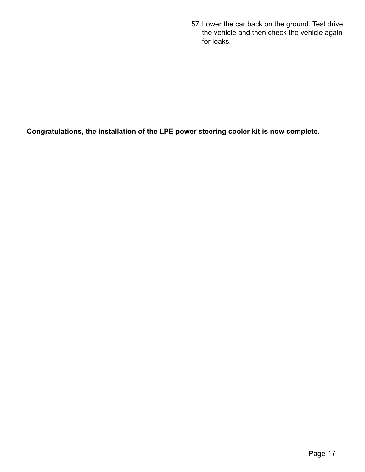57.Lower the car back on the ground. Test drive the vehicle and then check the vehicle again for leaks.

**Congratulations, the installation of the LPE power steering cooler kit is now complete.**